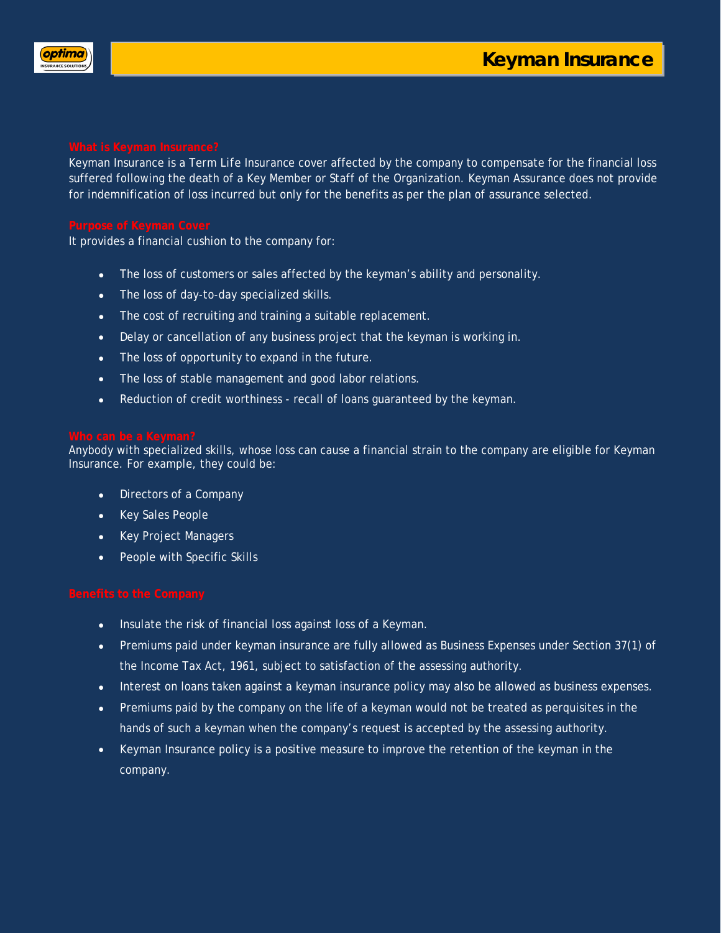

Keyman Insurance is a *Term Life Insurance* cover affected by the company to compensate for the financial loss suffered following the death of a Key Member or Staff of the Organization. Keyman Assurance does not provide for indemnification of loss incurred but only for the benefits as per the plan of assurance selected.

It provides a financial cushion to the company for:

- The loss of customers or sales affected by the keyman's ability and personality.
- The loss of day-to-day specialized skills.
- The cost of recruiting and training a suitable replacement.
- Delay or cancellation of any business project that the keyman is working in.
- The loss of opportunity to expand in the future.
- The loss of stable management and good labor relations.
- Reduction of credit worthiness recall of loans guaranteed by the keyman.

Anybody with specialized skills, whose loss can cause a financial strain to the company are eligible for Keyman Insurance. For example, they could be:

- Directors of a Company
- Key Sales People
- Key Project Managers
- People with Specific Skills

- Insulate the risk of financial loss against loss of a Keyman.
- Premiums paid under keyman insurance are fully allowed as Business Expenses under Section 37(1) of the Income Tax Act, 1961, subject to satisfaction of the assessing authority.
- Interest on loans taken against a keyman insurance policy may also be allowed as business expenses.
- Premiums paid by the company on the life of a keyman would not be treated as perquisites in the hands of such a keyman when the company's request is accepted by the assessing authority.
- Keyman Insurance policy is a positive measure to improve the retention of the keyman in the company.